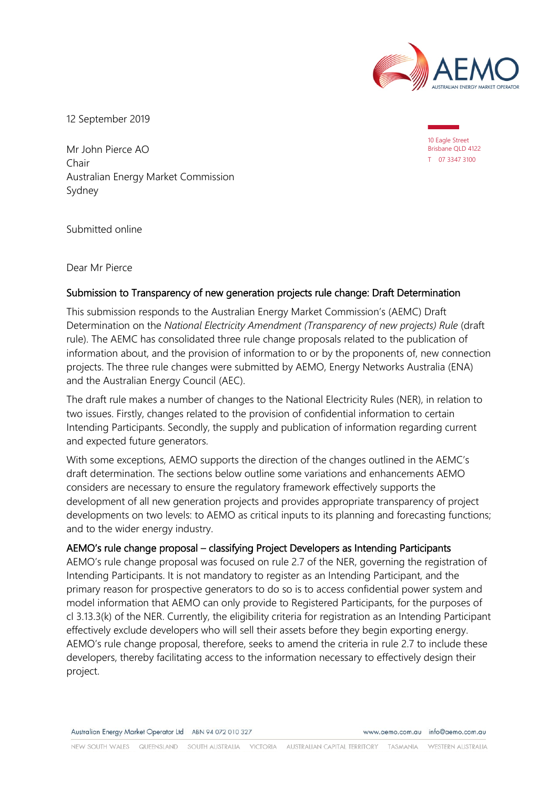

12 September 2019

Mr John Pierce AO Chair Australian Energy Market Commission Sydney

10 Eagle Street Brisbane QLD 4122 T 07 3347 3100

Submitted online

Dear Mr Pierce

# Submission to Transparency of new generation projects rule change: Draft Determination

This submission responds to the Australian Energy Market Commission's (AEMC) Draft Determination on the *National Electricity Amendment (Transparency of new projects) Rule* (draft rule). The AEMC has consolidated three rule change proposals related to the publication of information about, and the provision of information to or by the proponents of, new connection projects. The three rule changes were submitted by AEMO, Energy Networks Australia (ENA) and the Australian Energy Council (AEC).

The draft rule makes a number of changes to the National Electricity Rules (NER), in relation to two issues. Firstly, changes related to the provision of confidential information to certain Intending Participants. Secondly, the supply and publication of information regarding current and expected future generators.

With some exceptions, AEMO supports the direction of the changes outlined in the AEMC's draft determination. The sections below outline some variations and enhancements AEMO considers are necessary to ensure the regulatory framework effectively supports the development of all new generation projects and provides appropriate transparency of project developments on two levels: to AEMO as critical inputs to its planning and forecasting functions; and to the wider energy industry.

# AEMO's rule change proposal – classifying Project Developers as Intending Participants

AEMO's rule change proposal was focused on rule 2.7 of the NER, governing the registration of Intending Participants. It is not mandatory to register as an Intending Participant, and the primary reason for prospective generators to do so is to access confidential power system and model information that AEMO can only provide to Registered Participants, for the purposes of cl 3.13.3(k) of the NER. Currently, the eligibility criteria for registration as an Intending Participant effectively exclude developers who will sell their assets before they begin exporting energy. AEMO's rule change proposal, therefore, seeks to amend the criteria in rule 2.7 to include these developers, thereby facilitating access to the information necessary to effectively design their project.

www.aemo.com.au info@aemo.com.au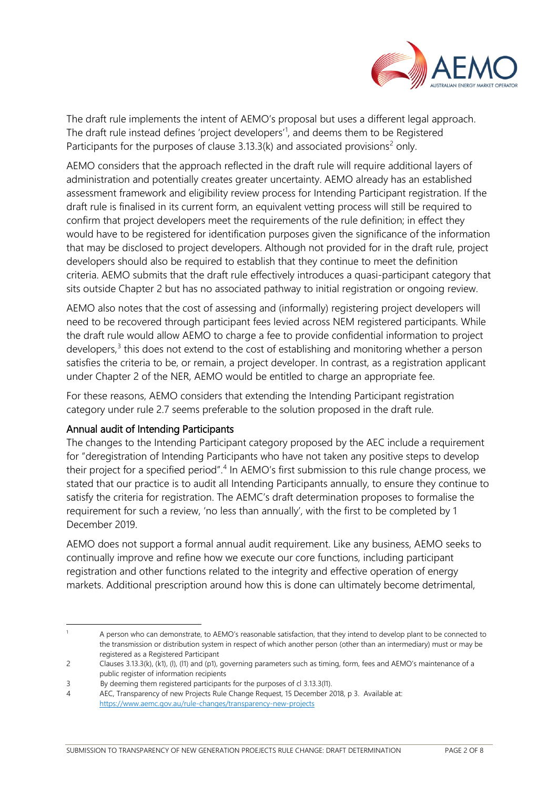

The draft rule implements the intent of AEMO's proposal but uses a different legal approach. The draft rule instead defines 'project developers'<sup>[1](#page-1-0)</sup>, and deems them to be Registered Participants for the purposes of clause  $3.13.3(k)$  and associated provisions<sup>[2](#page-1-1)</sup> only.

AEMO considers that the approach reflected in the draft rule will require additional layers of administration and potentially creates greater uncertainty. AEMO already has an established assessment framework and eligibility review process for Intending Participant registration. If the draft rule is finalised in its current form, an equivalent vetting process will still be required to confirm that project developers meet the requirements of the rule definition; in effect they would have to be registered for identification purposes given the significance of the information that may be disclosed to project developers. Although not provided for in the draft rule, project developers should also be required to establish that they continue to meet the definition criteria. AEMO submits that the draft rule effectively introduces a quasi-participant category that sits outside Chapter 2 but has no associated pathway to initial registration or ongoing review.

AEMO also notes that the cost of assessing and (informally) registering project developers will need to be recovered through participant fees levied across NEM registered participants. While the draft rule would allow AEMO to charge a fee to provide confidential information to project developers, $3$  this does not extend to the cost of establishing and monitoring whether a person satisfies the criteria to be, or remain, a project developer. In contrast, as a registration applicant under Chapter 2 of the NER, AEMO would be entitled to charge an appropriate fee.

For these reasons, AEMO considers that extending the Intending Participant registration category under rule 2.7 seems preferable to the solution proposed in the draft rule.

# Annual audit of Intending Participants

-

The changes to the Intending Participant category proposed by the AEC include a requirement for "deregistration of Intending Participants who have not taken any positive steps to develop their project for a specified period".<sup>[4](#page-1-3)</sup> In AEMO's first submission to this rule change process, we stated that our practice is to audit all Intending Participants annually, to ensure they continue to satisfy the criteria for registration. The AEMC's draft determination proposes to formalise the requirement for such a review, 'no less than annually', with the first to be completed by 1 December 2019.

AEMO does not support a formal annual audit requirement. Like any business, AEMO seeks to continually improve and refine how we execute our core functions, including participant registration and other functions related to the integrity and effective operation of energy markets. Additional prescription around how this is done can ultimately become detrimental,

<span id="page-1-0"></span><sup>1</sup> A person who can demonstrate, to AEMO's reasonable satisfaction, that they intend to develop plant to be connected to the transmission or distribution system in respect of which another person (other than an intermediary) must or may be registered as a Registered Participant

<span id="page-1-1"></span><sup>2</sup> Clauses 3.13.3(k), (k1), (l), (l1) and (p1), governing parameters such as timing, form, fees and AEMO's maintenance of a public register of information recipients

<span id="page-1-2"></span><sup>3</sup> By deeming them registered participants for the purposes of cl 3.13.3(l1).

<span id="page-1-3"></span><sup>4</sup> AEC, Transparency of new Projects Rule Change Request, 15 December 2018, p 3. Available at: <https://www.aemc.gov.au/rule-changes/transparency-new-projects>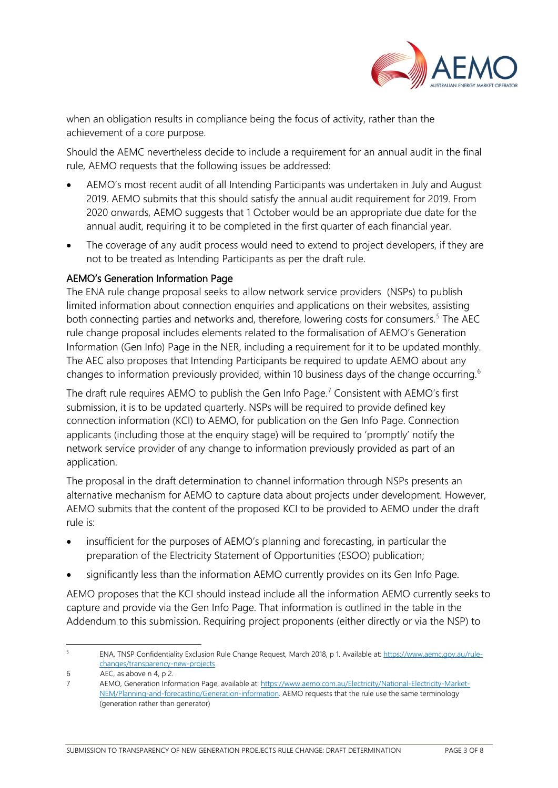

when an obligation results in compliance being the focus of activity, rather than the achievement of a core purpose.

Should the AEMC nevertheless decide to include a requirement for an annual audit in the final rule, AEMO requests that the following issues be addressed:

- AEMO's most recent audit of all Intending Participants was undertaken in July and August 2019. AEMO submits that this should satisfy the annual audit requirement for 2019. From 2020 onwards, AEMO suggests that 1 October would be an appropriate due date for the annual audit, requiring it to be completed in the first quarter of each financial year.
- The coverage of any audit process would need to extend to project developers, if they are not to be treated as Intending Participants as per the draft rule.

# AEMO's Generation Information Page

The ENA rule change proposal seeks to allow network service providers (NSPs) to publish limited information about connection enquiries and applications on their websites, assisting both connecting parties and networks and, therefore, lowering costs for consumers.<sup>[5](#page-2-0)</sup> The AEC rule change proposal includes elements related to the formalisation of AEMO's Generation Information (Gen Info) Page in the NER, including a requirement for it to be updated monthly. The AEC also proposes that Intending Participants be required to update AEMO about any changes to information previously provided, within 10 business days of the change occurring.<sup>[6](#page-2-1)</sup>

The draft rule requires AEMO to publish the Gen Info Page.<sup>[7](#page-2-2)</sup> Consistent with AEMO's first submission, it is to be updated quarterly. NSPs will be required to provide defined key connection information (KCI) to AEMO, for publication on the Gen Info Page. Connection applicants (including those at the enquiry stage) will be required to 'promptly' notify the network service provider of any change to information previously provided as part of an application.

The proposal in the draft determination to channel information through NSPs presents an alternative mechanism for AEMO to capture data about projects under development. However, AEMO submits that the content of the proposed KCI to be provided to AEMO under the draft rule is:

- insufficient for the purposes of AEMO's planning and forecasting, in particular the preparation of the Electricity Statement of Opportunities (ESOO) publication;
- significantly less than the information AEMO currently provides on its Gen Info Page.

AEMO proposes that the KCI should instead include all the information AEMO currently seeks to capture and provide via the Gen Info Page. That information is outlined in the table in the Addendum to this submission. Requiring project proponents (either directly or via the NSP) to

<span id="page-2-0"></span> $\overline{5}$ <sup>5</sup> ENA, TNSP Confidentiality Exclusion Rule Change Request, March 2018, p 1. Available at[: https://www.aemc.gov.au/rule](https://www.aemc.gov.au/rule-changes/transparency-new-projects)[changes/transparency-new-projects](https://www.aemc.gov.au/rule-changes/transparency-new-projects)

<span id="page-2-1"></span><sup>6</sup> AEC, as above n 4, p 2.

<span id="page-2-2"></span><sup>7</sup> AEMO, Generation Information Page, available at[: https://www.aemo.com.au/Electricity/National-Electricity-Market-](https://www.aemo.com.au/Electricity/National-Electricity-Market-NEM/Planning-and-forecasting/Generation-information)[NEM/Planning-and-forecasting/Generation-information.](https://www.aemo.com.au/Electricity/National-Electricity-Market-NEM/Planning-and-forecasting/Generation-information) AEMO requests that the rule use the same terminology (generation rather than generator)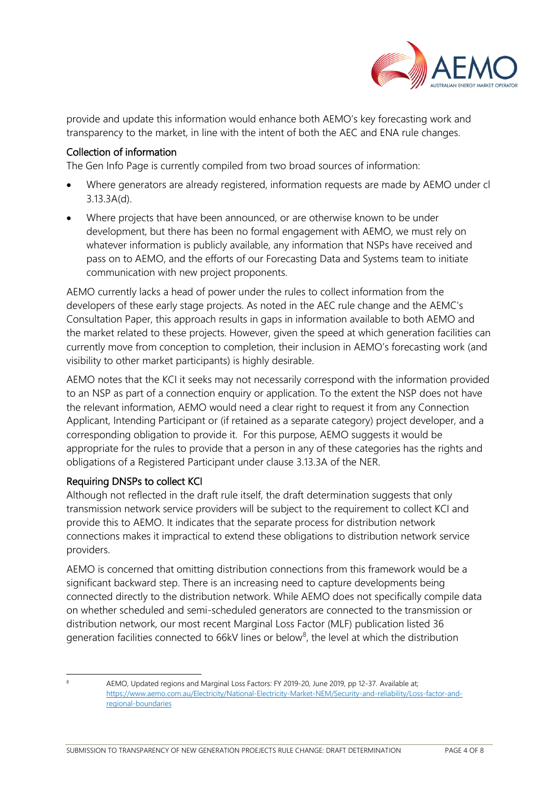

provide and update this information would enhance both AEMO's key forecasting work and transparency to the market, in line with the intent of both the AEC and ENA rule changes.

#### Collection of information

The Gen Info Page is currently compiled from two broad sources of information:

- Where generators are already registered, information requests are made by AEMO under cl 3.13.3A(d).
- Where projects that have been announced, or are otherwise known to be under development, but there has been no formal engagement with AEMO, we must rely on whatever information is publicly available, any information that NSPs have received and pass on to AEMO, and the efforts of our Forecasting Data and Systems team to initiate communication with new project proponents.

AEMO currently lacks a head of power under the rules to collect information from the developers of these early stage projects. As noted in the AEC rule change and the AEMC's Consultation Paper, this approach results in gaps in information available to both AEMO and the market related to these projects. However, given the speed at which generation facilities can currently move from conception to completion, their inclusion in AEMO's forecasting work (and visibility to other market participants) is highly desirable.

AEMO notes that the KCI it seeks may not necessarily correspond with the information provided to an NSP as part of a connection enquiry or application. To the extent the NSP does not have the relevant information, AEMO would need a clear right to request it from any Connection Applicant, Intending Participant or (if retained as a separate category) project developer, and a corresponding obligation to provide it. For this purpose, AEMO suggests it would be appropriate for the rules to provide that a person in any of these categories has the rights and obligations of a Registered Participant under clause 3.13.3A of the NER.

# Requiring DNSPs to collect KCI

Although not reflected in the draft rule itself, the draft determination suggests that only transmission network service providers will be subject to the requirement to collect KCI and provide this to AEMO. It indicates that the separate process for distribution network connections makes it impractical to extend these obligations to distribution network service providers.

AEMO is concerned that omitting distribution connections from this framework would be a significant backward step. There is an increasing need to capture developments being connected directly to the distribution network. While AEMO does not specifically compile data on whether scheduled and semi-scheduled generators are connected to the transmission or distribution network, our most recent Marginal Loss Factor (MLF) publication listed 36 generation facilities connected to 66kV lines or below<sup>[8](#page-3-0)</sup>, the level at which the distribution

<span id="page-3-0"></span><sup>-</sup>

<sup>8</sup> AEMO, Updated regions and Marginal Loss Factors: FY 2019-20, June 2019, pp 12-37. Available at; [https://www.aemo.com.au/Electricity/National-Electricity-Market-NEM/Security-and-reliability/Loss-factor-and](https://www.aemo.com.au/Electricity/National-Electricity-Market-NEM/Security-and-reliability/Loss-factor-and-regional-boundaries)[regional-boundaries](https://www.aemo.com.au/Electricity/National-Electricity-Market-NEM/Security-and-reliability/Loss-factor-and-regional-boundaries)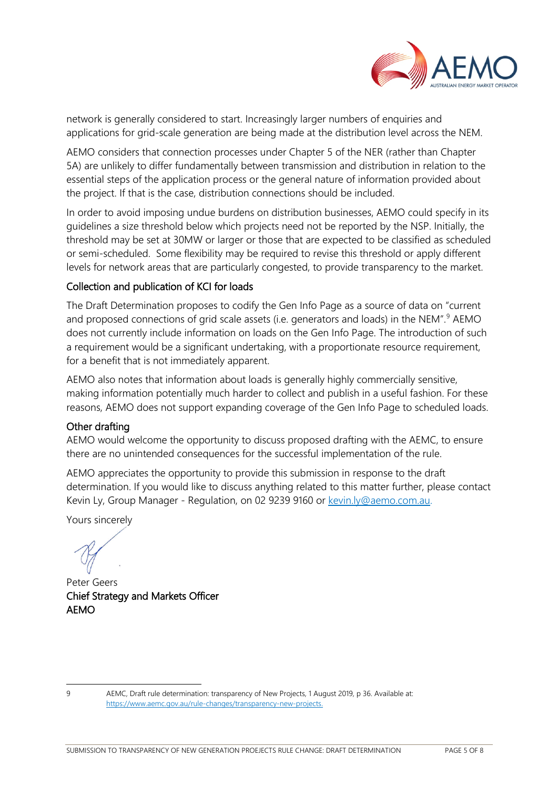

network is generally considered to start. Increasingly larger numbers of enquiries and applications for grid-scale generation are being made at the distribution level across the NEM.

AEMO considers that connection processes under Chapter 5 of the NER (rather than Chapter 5A) are unlikely to differ fundamentally between transmission and distribution in relation to the essential steps of the application process or the general nature of information provided about the project. If that is the case, distribution connections should be included.

In order to avoid imposing undue burdens on distribution businesses, AEMO could specify in its guidelines a size threshold below which projects need not be reported by the NSP. Initially, the threshold may be set at 30MW or larger or those that are expected to be classified as scheduled or semi-scheduled. Some flexibility may be required to revise this threshold or apply different levels for network areas that are particularly congested, to provide transparency to the market.

# Collection and publication of KCI for loads

The Draft Determination proposes to codify the Gen Info Page as a source of data on "current and proposed connections of grid scale assets (i.e. generators and loads) in the NEM".<sup>[9](#page-4-0)</sup> AEMO does not currently include information on loads on the Gen Info Page. The introduction of such a requirement would be a significant undertaking, with a proportionate resource requirement, for a benefit that is not immediately apparent.

AEMO also notes that information about loads is generally highly commercially sensitive, making information potentially much harder to collect and publish in a useful fashion. For these reasons, AEMO does not support expanding coverage of the Gen Info Page to scheduled loads.

#### Other drafting

AEMO would welcome the opportunity to discuss proposed drafting with the AEMC, to ensure there are no unintended consequences for the successful implementation of the rule.

AEMO appreciates the opportunity to provide this submission in response to the draft determination. If you would like to discuss anything related to this matter further, please contact Kevin Ly, Group Manager - Regulation, on 02 9239 9160 or [kevin.ly@aemo.com.au.](mailto:kevin.ly@aemo.com.au)

Yours sincerely

Peter Geers Chief Strategy and Markets Officer AEMO

<sup>-</sup>

<span id="page-4-0"></span><sup>9</sup> AEMC, Draft rule determination: transparency of New Projects, 1 August 2019, p 36. Available at: [https://www.aemc.gov.au/rule-changes/transparency-new-projects.](https://www.aemc.gov.au/rule-changes/transparency-new-projects)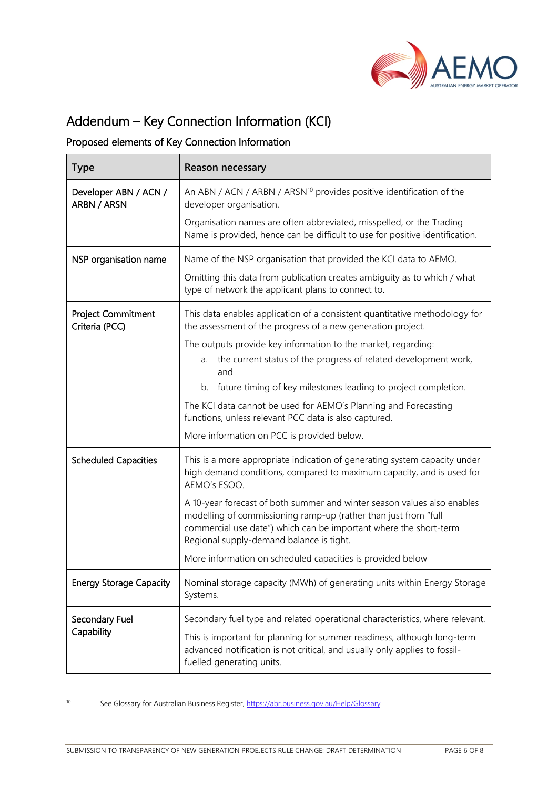

# Addendum – Key Connection Information (KCI)

# Proposed elements of Key Connection Information

| <b>Type</b>                                 | <b>Reason necessary</b>                                                                                                                                                                                                                                            |
|---------------------------------------------|--------------------------------------------------------------------------------------------------------------------------------------------------------------------------------------------------------------------------------------------------------------------|
| Developer ABN / ACN /<br>ARBN / ARSN        | An ABN / ACN / ARBN / ARSN <sup>10</sup> provides positive identification of the<br>developer organisation.                                                                                                                                                        |
|                                             | Organisation names are often abbreviated, misspelled, or the Trading<br>Name is provided, hence can be difficult to use for positive identification.                                                                                                               |
| NSP organisation name                       | Name of the NSP organisation that provided the KCI data to AEMO.                                                                                                                                                                                                   |
|                                             | Omitting this data from publication creates ambiguity as to which / what<br>type of network the applicant plans to connect to.                                                                                                                                     |
| <b>Project Commitment</b><br>Criteria (PCC) | This data enables application of a consistent quantitative methodology for<br>the assessment of the progress of a new generation project.                                                                                                                          |
|                                             | The outputs provide key information to the market, regarding:<br>the current status of the progress of related development work,<br>a.<br>and                                                                                                                      |
|                                             | future timing of key milestones leading to project completion.<br>b.                                                                                                                                                                                               |
|                                             | The KCI data cannot be used for AEMO's Planning and Forecasting<br>functions, unless relevant PCC data is also captured.                                                                                                                                           |
|                                             | More information on PCC is provided below.                                                                                                                                                                                                                         |
| <b>Scheduled Capacities</b>                 | This is a more appropriate indication of generating system capacity under<br>high demand conditions, compared to maximum capacity, and is used for<br>AEMO's ESOO.                                                                                                 |
|                                             | A 10-year forecast of both summer and winter season values also enables<br>modelling of commissioning ramp-up (rather than just from "full<br>commercial use date") which can be important where the short-term<br>Regional supply-demand balance is tight.        |
|                                             | More information on scheduled capacities is provided below                                                                                                                                                                                                         |
| <b>Energy Storage Capacity</b>              | Nominal storage capacity (MWh) of generating units within Energy Storage<br>Systems.                                                                                                                                                                               |
| Secondary Fuel<br>Capability                | Secondary fuel type and related operational characteristics, where relevant.<br>This is important for planning for summer readiness, although long-term<br>advanced notification is not critical, and usually only applies to fossil-<br>fuelled generating units. |

<span id="page-5-0"></span> $10<sup>10</sup>$ 

See Glossary for Australian Business Register,<https://abr.business.gov.au/Help/Glossary>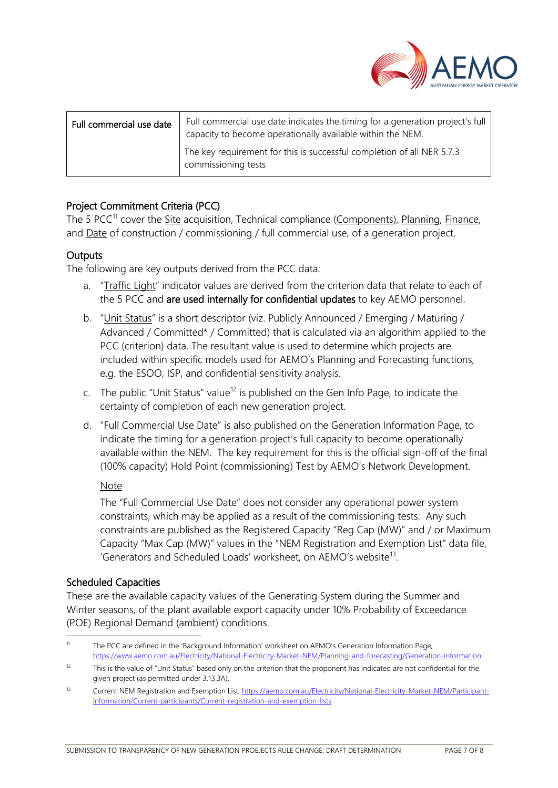

| Full commercial use date | Full commercial use date indicates the timing for a generation project's full<br>capacity to become operationally available within the NEM. |
|--------------------------|---------------------------------------------------------------------------------------------------------------------------------------------|
|                          | The key requirement for this is successful completion of all NER 5.7.3<br>commissioning tests                                               |

# Project Commitment Criteria (PCC)

The 5 PCC<sup>[11](#page-6-0)</sup> cover the Site acquisition, Technical compliance (Components), Planning, Finance, and Date of construction / commissioning / full commercial use, of a generation project.

#### **Outputs**

The following are key outputs derived from the PCC data:

- a. "Traffic Light" indicator values are derived from the criterion data that relate to each of the 5 PCC and are used internally for confidential updates to key AEMO personnel.
- b. "Unit Status" is a short descriptor (viz. Publicly Announced / Emerging / Maturing / Advanced / Committed\* / Committed) that is calculated via an algorithm applied to the PCC (criterion) data. The resultant value is used to determine which projects are included within specific models used for AEMO's Planning and Forecasting functions, e.g. the ESOO, ISP, and confidential sensitivity analysis.
- c. The public "Unit Status" value<sup>[12](#page-6-1)</sup> is published on the Gen Info Page, to indicate the certainty of completion of each new generation project.
- d. "Full Commercial Use Date" is also published on the Generation Information Page, to indicate the timing for a generation project's full capacity to become operationally available within the NEM. The key requirement for this is the official sign-off of the final (100% capacity) Hold Point (commissioning) Test by AEMO's Network Development.

#### Note

The "Full Commercial Use Date" does not consider any operational power system constraints, which may be applied as a result of the commissioning tests. Any such constraints are published as the Registered Capacity "Reg Cap (MW)" and / or Maximum Capacity "Max Cap (MW)" values in the "NEM Registration and Exemption List" data file, 'Generators and Scheduled Loads' worksheet, on AEMO's website<sup>13</sup>.

#### Scheduled Capacities

These are the available capacity values of the Generating System during the Summer and Winter seasons, of the plant available export capacity under 10% Probability of Exceedance (POE) Regional Demand (ambient) conditions.

<span id="page-6-0"></span> $\overline{11}$ The PCC are defined in the 'Background Information' worksheet on AEMO's Generation Information Page, <https://www.aemo.com.au/Electricity/National-Electricity-Market-NEM/Planning-and-forecasting/Generation-information>

<span id="page-6-1"></span> $12$  This is the value of "Unit Status" based only on the criterion that the proponent has indicated are not confidential for the given project (as permitted under 3.13.3A).

<span id="page-6-2"></span><sup>13</sup> Current NEM Registration and Exemption List[, https://aemo.com.au/Electricity/National-Electricity-Market-NEM/Participant](https://aemo.com.au/Electricity/National-Electricity-Market-NEM/Participant-information/Current-participants/Current-registration-and-exemption-lists)[information/Current-participants/Current-registration-and-exemption-lists](https://aemo.com.au/Electricity/National-Electricity-Market-NEM/Participant-information/Current-participants/Current-registration-and-exemption-lists)